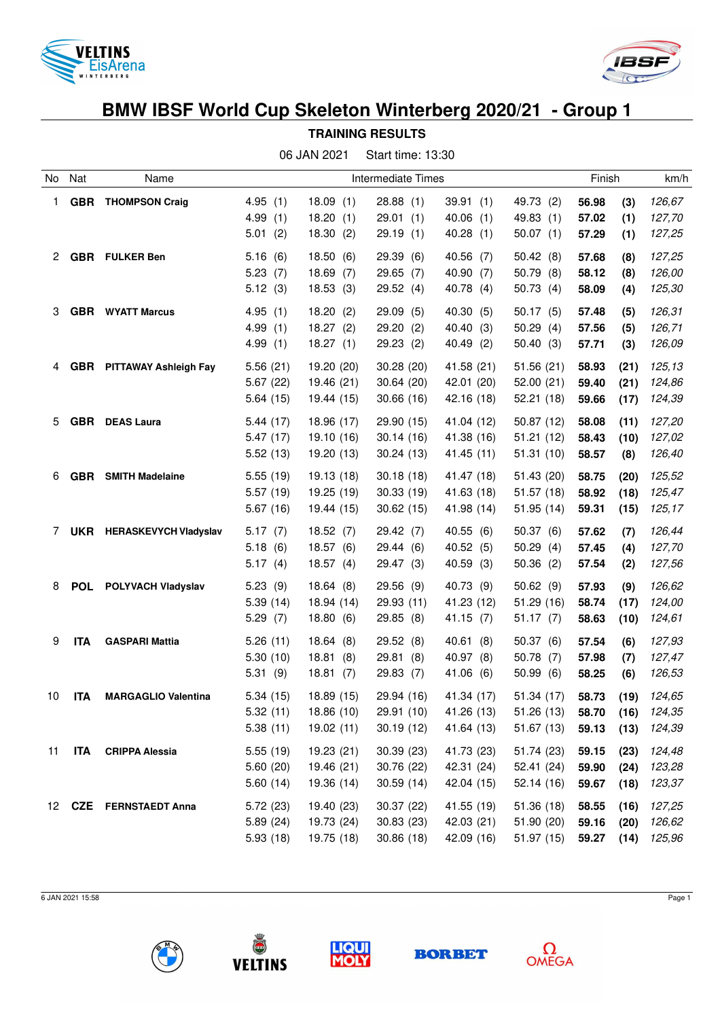



|  | TRAINING RESULTS |  |  |  |
|--|------------------|--|--|--|
|--|------------------|--|--|--|

|    | 06 JAN 2021<br>Start time: 13:30 |                              |                                    |                                              |                                          |                                          |                                       |                         |                      |                            |
|----|----------------------------------|------------------------------|------------------------------------|----------------------------------------------|------------------------------------------|------------------------------------------|---------------------------------------|-------------------------|----------------------|----------------------------|
| No | Nat                              | Name                         |                                    |                                              | Intermediate Times                       |                                          | Finish                                |                         |                      | km/h                       |
| 1. | GBR                              | <b>THOMPSON Craig</b>        | 4.95(1)<br>4.99(1)<br>5.01(2)      | 18.09(1)<br>18.20<br>(1)<br>18.30<br>(2)     | 28.88(1)<br>29.01(1)<br>29.19 (1)        | 39.91(1)<br>40.06(1)<br>40.28(1)         | 49.73 (2)<br>49.83 (1)<br>50.07(1)    | 56.98<br>57.02<br>57.29 | (3)<br>(1)<br>(1)    | 126,67<br>127,70<br>127,25 |
| 2  | <b>GBR</b>                       | <b>FULKER Ben</b>            | 5.16(6)<br>5.23(7)<br>5.12(3)      | 18.50<br>(6)<br>18.69<br>(7)<br>18.53<br>(3) | 29.39<br>(6)<br>29.65<br>(7)<br>29.52(4) | 40.56(7)<br>40.90<br>(7)<br>40.78<br>(4) | 50.42(8)<br>50.79(8)<br>50.73(4)      | 57.68<br>58.12<br>58.09 | (8)<br>(8)<br>(4)    | 127,25<br>126,00<br>125,30 |
| 3  | <b>GBR</b>                       | <b>WYATT Marcus</b>          | 4.95(1)<br>4.99<br>(1)<br>4.99(1)  | 18.20<br>(2)<br>18.27(2)<br>18.27(1)         | 29.09<br>(5)<br>29.20(2)<br>29.23(2)     | 40.30<br>(5)<br>40.40 (3)<br>40.49 (2)   | 50.17(5)<br>50.29(4)<br>50.40(3)      | 57.48<br>57.56<br>57.71 | (5)<br>(5)<br>(3)    | 126,31<br>126,71<br>126,09 |
| 4  | <b>GBR</b>                       | PITTAWAY Ashleigh Fay        | 5.56(21)<br>5.67(22)<br>5.64(15)   | 19.20 (20)<br>19.46 (21)<br>19.44 (15)       | 30.28 (20)<br>30.64 (20)<br>30.66(16)    | 41.58 (21)<br>42.01 (20)<br>42.16 (18)   | 51.56(21)<br>52.00(21)<br>52.21(18)   | 58.93<br>59.40<br>59.66 | (21)<br>(21)<br>(17) | 125,13<br>124,86<br>124,39 |
| 5  | <b>GBR</b>                       | <b>DEAS Laura</b>            | 5.44(17)<br>5.47(17)<br>5.52(13)   | 18.96 (17)<br>19.10 (16)<br>19.20 (13)       | 29.90 (15)<br>30.14(16)<br>30.24(13)     | 41.04 (12)<br>41.38 (16)<br>41.45 (11)   | 50.87(12)<br>51.21(12)<br>51.31(10)   | 58.08<br>58.43<br>58.57 | (11)<br>(10)<br>(8)  | 127,20<br>127,02<br>126,40 |
| 6  | <b>GBR</b>                       | <b>SMITH Madelaine</b>       | 5.55(19)<br>5.57(19)<br>5.67(16)   | 19.13 (18)<br>19.25 (19)<br>19.44 (15)       | 30.18(18)<br>30.33(19)<br>30.62(15)      | 41.47 (18)<br>41.63 (18)<br>41.98 (14)   | 51.43 (20)<br>51.57(18)<br>51.95(14)  | 58.75<br>58.92<br>59.31 | (20)<br>(18)<br>(15) | 125,52<br>125,47<br>125,17 |
| 7  | <b>UKR</b>                       | <b>HERASKEVYCH Vladyslav</b> | 5.17(7)<br>5.18(6)<br>5.17(4)      | 18.52(7)<br>18.57(6)<br>18.57(4)             | 29.42 (7)<br>29.44(6)<br>29.47 (3)       | 40.55(6)<br>40.52 (5)<br>40.59<br>(3)    | 50.37(6)<br>50.29(4)<br>50.36(2)      | 57.62<br>57.45<br>57.54 | (7)<br>(4)<br>(2)    | 126,44<br>127,70<br>127,56 |
| 8  | <b>POL</b>                       | POLYVACH Vladyslav           | 5.23(9)<br>5.39(14)<br>5.29(7)     | 18.64(8)<br>18.94 (14)<br>18.80(6)           | 29.56 (9)<br>29.93 (11)<br>29.85 (8)     | 40.73 (9)<br>41.23 (12)<br>41.15(7)      | 50.62(9)<br>51.29(16)<br>51.17(7)     | 57.93<br>58.74<br>58.63 | (9)<br>(17)<br>(10)  | 126,62<br>124,00<br>124,61 |
| 9  | <b>ITA</b>                       | <b>GASPARI Mattia</b>        | 5.26(11)<br>5.30(10)<br>5.31(9)    | 18.64<br>(8)<br>18.81<br>(8)<br>18.81(7)     | 29.52(8)<br>29.81<br>(8)<br>29.83(7)     | 40.61<br>(8)<br>40.97 (8)<br>41.06(6)    | 50.37(6)<br>50.78(7)<br>50.99(6)      | 57.54<br>57.98<br>58.25 | (6)<br>(7)<br>(6)    | 127,93<br>127,47<br>126,53 |
| 10 | <b>ITA</b>                       | <b>MARGAGLIO Valentina</b>   | 5.34(15)<br>5.32(11)<br>5.38(11)   | 18.89 (15)<br>18.86 (10)<br>19.02(11)        | 29.94 (16)<br>29.91 (10)<br>30.19(12)    | 41.34 (17)<br>41.26 (13)<br>41.64 (13)   | 51.34 (17)<br>51.26(13)<br>51.67 (13) | 58.73<br>58.70<br>59.13 | (19)<br>(16)<br>(13) | 124,65<br>124,35<br>124,39 |
| 11 | <b>ITA</b>                       | <b>CRIPPA Alessia</b>        | 5.55 (19)<br>5.60 (20)<br>5.60(14) | 19.23 (21)<br>19.46 (21)<br>19.36 (14)       | 30.39(23)<br>30.76 (22)<br>30.59 (14)    | 41.73 (23)<br>42.31 (24)<br>42.04 (15)   | 51.74 (23)<br>52.41 (24)<br>52.14(16) | 59.15<br>59.90<br>59.67 | (23)<br>(24)<br>(18) | 124,48<br>123,28<br>123,37 |
| 12 |                                  | <b>CZE</b> FERNSTAEDT Anna   | 5.72(23)<br>5.89(24)<br>5.93(18)   | 19.40 (23)<br>19.73 (24)<br>19.75 (18)       | 30.37 (22)<br>30.83(23)<br>30.86(18)     | 41.55 (19)<br>42.03 (21)<br>42.09 (16)   | 51.36 (18)<br>51.90 (20)<br>51.97(15) | 58.55<br>59.16<br>59.27 | (16)<br>(20)<br>(14) | 127,25<br>126,62<br>125,96 |

6 JAN 2021 15:58 Page 1









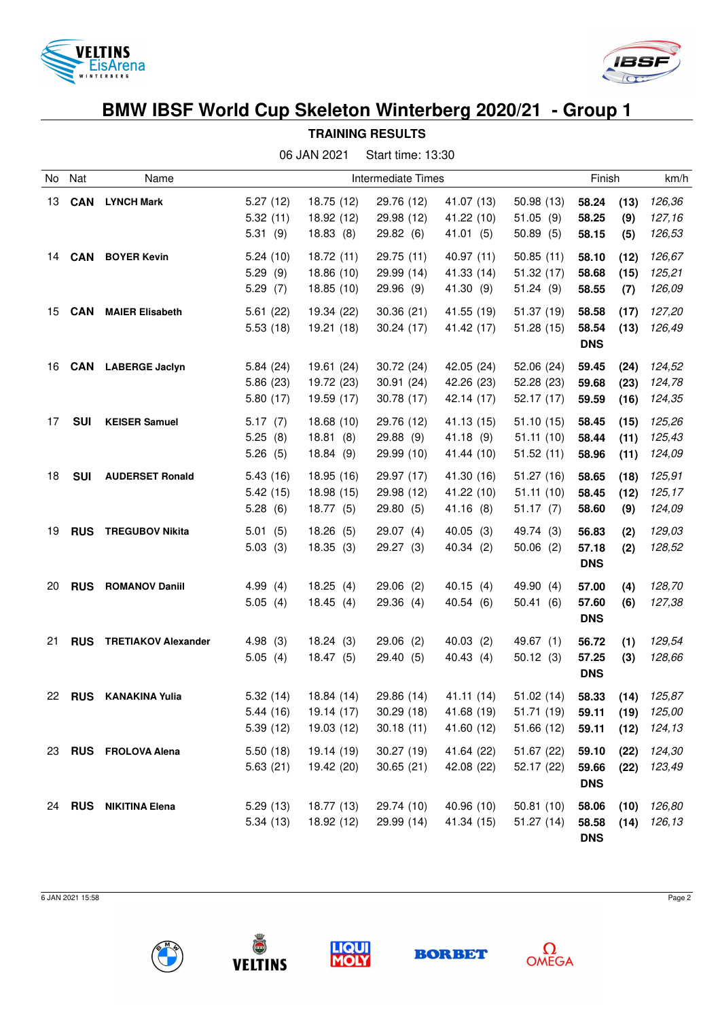



**TRAINING RESULTS**

|    |            |                            |                                  | 06 JAN 2021                            | Start time: 13:30                      |                                        |                                        |                              |                      |                            |
|----|------------|----------------------------|----------------------------------|----------------------------------------|----------------------------------------|----------------------------------------|----------------------------------------|------------------------------|----------------------|----------------------------|
| No | Nat        | Name                       | Intermediate Times               |                                        |                                        |                                        |                                        |                              | Finish               |                            |
| 13 | <b>CAN</b> | <b>LYNCH Mark</b>          | 5.27(12)<br>5.32(11)<br>5.31(9)  | 18.75 (12)<br>18.92 (12)<br>18.83(8)   | 29.76 (12)<br>29.98 (12)<br>29.82(6)   | 41.07 (13)<br>41.22 (10)<br>41.01 (5)  | 50.98(13)<br>51.05(9)<br>50.89(5)      | 58.24<br>58.25<br>58.15      | (13)<br>(9)<br>(5)   | 126,36<br>127,16<br>126,53 |
| 14 | <b>CAN</b> | <b>BOYER Kevin</b>         | 5.24(10)<br>5.29(9)<br>5.29(7)   | 18.72 (11)<br>18.86 (10)<br>18.85 (10) | 29.75 (11)<br>29.99 (14)<br>29.96(9)   | 40.97 (11)<br>41.33 (14)<br>41.30 (9)  | 50.85(11)<br>51.32(17)<br>51.24(9)     | 58.10<br>58.68<br>58.55      | (12)<br>(15)<br>(7)  | 126,67<br>125,21<br>126,09 |
| 15 | <b>CAN</b> | <b>MAIER Elisabeth</b>     | 5.61(22)<br>5.53(18)             | 19.34 (22)<br>19.21 (18)               | 30.36(21)<br>30.24(17)                 | 41.55 (19)<br>41.42 (17)               | 51.37 (19)<br>51.28(15)                | 58.58<br>58.54<br><b>DNS</b> | (17)<br>(13)         | 127,20<br>126,49           |
| 16 | <b>CAN</b> | <b>LABERGE Jaclyn</b>      | 5.84(24)<br>5.86(23)<br>5.80(17) | 19.61 (24)<br>19.72 (23)<br>19.59 (17) | 30.72 (24)<br>30.91 (24)<br>30.78 (17) | 42.05 (24)<br>42.26 (23)<br>42.14 (17) | 52.06 (24)<br>52.28 (23)<br>52.17 (17) | 59.45<br>59.68<br>59.59      | (24)<br>(23)<br>(16) | 124,52<br>124,78<br>124,35 |
| 17 | <b>SUI</b> | <b>KEISER Samuel</b>       | 5.17(7)<br>5.25(8)<br>5.26(5)    | 18.68 (10)<br>18.81(8)<br>18.84(9)     | 29.76 (12)<br>29.88 (9)<br>29.99 (10)  | 41.13 (15)<br>41.18(9)<br>41.44 (10)   | 51.10(15)<br>51.11(10)<br>51.52(11)    | 58.45<br>58.44<br>58.96      | (15)<br>(11)<br>(11) | 125,26<br>125,43<br>124,09 |
| 18 | <b>SUI</b> | <b>AUDERSET Ronald</b>     | 5.43(16)<br>5.42(15)<br>5.28(6)  | 18.95 (16)<br>18.98 (15)<br>18.77(5)   | 29.97 (17)<br>29.98 (12)<br>29.80(5)   | 41.30 (16)<br>41.22 (10)<br>41.16 (8)  | 51.27(16)<br>51.11(10)<br>51.17(7)     | 58.65<br>58.45<br>58.60      | (18)<br>(12)<br>(9)  | 125,91<br>125,17<br>124,09 |
| 19 | <b>RUS</b> | <b>TREGUBOV Nikita</b>     | 5.01(5)<br>5.03(3)               | 18.26(5)<br>18.35(3)                   | 29.07(4)<br>29.27 (3)                  | 40.05(3)<br>40.34 (2)                  | 49.74 (3)<br>50.06(2)                  | 56.83<br>57.18<br><b>DNS</b> | (2)<br>(2)           | 129,03<br>128,52           |
| 20 | <b>RUS</b> | <b>ROMANOV Daniil</b>      | 4.99(4)<br>5.05(4)               | 18.25(4)<br>18.45(4)                   | $29.06$ (2)<br>29.36(4)                | 40.15(4)<br>40.54 (6)                  | 49.90 (4)<br>50.41(6)                  | 57.00<br>57.60<br><b>DNS</b> | (4)<br>(6)           | 128,70<br>127,38           |
| 21 | <b>RUS</b> | <b>TRETIAKOV Alexander</b> | 4.98(3)<br>5.05(4)               | 18.24(3)<br>18.47(5)                   | $29.06$ (2)<br>29.40(5)                | 40.03(2)<br>40.43(4)                   | 49.67 (1)<br>50.12(3)                  | 56.72<br>57.25<br><b>DNS</b> | (1)<br>(3)           | 129,54<br>128,66           |
| 22 | <b>RUS</b> | <b>KANAKINA Yulia</b>      | 5.32(14)<br>5.44(16)<br>5.39(12) | 18.84 (14)<br>19.14 (17)<br>19.03 (12) | 29.86 (14)<br>30.29(18)<br>30.18(11)   | 41.11 (14)<br>41.68 (19)<br>41.60 (12) | 51.02(14)<br>51.71 (19)<br>51.66 (12)  | 58.33<br>59.11<br>59.11      | (14)<br>(19)<br>(12) | 125,87<br>125,00<br>124,13 |
| 23 | <b>RUS</b> | <b>FROLOVA Alena</b>       | 5.50(18)<br>5.63(21)             | 19.14 (19)<br>19.42 (20)               | 30.27 (19)<br>30.65(21)                | 41.64 (22)<br>42.08 (22)               | 51.67 (22)<br>52.17 (22)               | 59.10<br>59.66<br><b>DNS</b> | (22)<br>(22)         | 124,30<br>123,49           |
| 24 | <b>RUS</b> | <b>NIKITINA Elena</b>      | 5.29(13)<br>5.34(13)             | 18.77 (13)<br>18.92 (12)               | 29.74 (10)<br>29.99 (14)               | 40.96 (10)<br>41.34 (15)               | 50.81(10)<br>51.27(14)                 | 58.06<br>58.58<br><b>DNS</b> | (10)<br>(14)         | 126,80<br>126,13           |

6 JAN 2021 15:58 Page 2









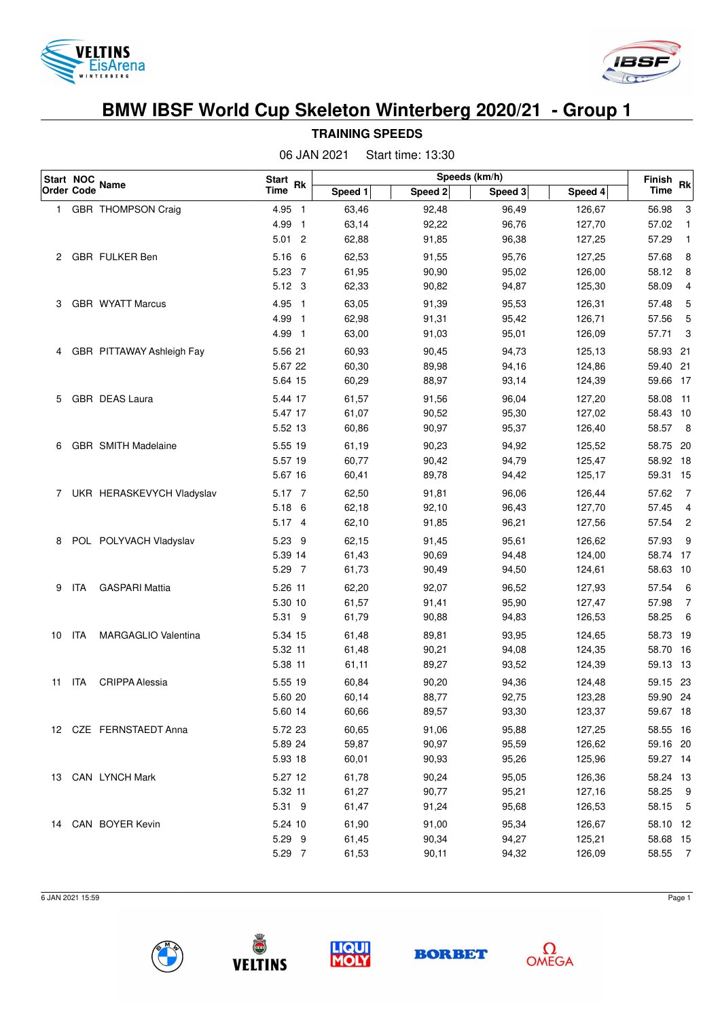



| Start NOC |                   |                            | Speeds (km/h)<br>Start Rk |         |         |         |         |                |                |  |
|-----------|-------------------|----------------------------|---------------------------|---------|---------|---------|---------|----------------|----------------|--|
|           | <b>Order Code</b> | Name                       | <b>Time</b>               | Speed 1 | Speed 2 | Speed 3 | Speed 4 | Finish<br>Time | <b>Rk</b>      |  |
| 1.        |                   | GBR THOMPSON Craig         | 4.95 1                    | 63,46   | 92,48   | 96,49   | 126,67  | 56.98          | 3              |  |
|           |                   |                            | 4.99 1                    | 63,14   | 92,22   | 96,76   | 127,70  | 57.02          | $\mathbf{1}$   |  |
|           |                   |                            | $5.01$ 2                  | 62,88   | 91,85   | 96,38   | 127,25  | 57.29          | $\mathbf{1}$   |  |
| 2         |                   | GBR FULKER Ben             | 5.16 6                    | 62,53   | 91,55   | 95,76   | 127,25  | 57.68          | 8              |  |
|           |                   |                            | 5.23 7                    | 61,95   | 90,90   | 95,02   | 126,00  | 58.12          | 8              |  |
|           |                   |                            | 5.12 3                    | 62,33   | 90,82   | 94,87   | 125,30  | 58.09          | 4              |  |
| 3         |                   | GBR WYATT Marcus           | 4.95 1                    | 63,05   | 91,39   | 95,53   | 126,31  | 57.48          | 5              |  |
|           |                   |                            | 4.99 1                    | 62,98   | 91,31   | 95,42   | 126,71  | 57.56          | 5              |  |
|           |                   |                            | 4.99 1                    | 63,00   | 91,03   | 95,01   | 126,09  | 57.71          | 3              |  |
| 4         |                   | GBR PITTAWAY Ashleigh Fay  | 5.56 21                   | 60,93   | 90,45   | 94,73   | 125,13  | 58.93 21       |                |  |
|           |                   |                            | 5.67 22                   | 60,30   | 89,98   | 94,16   | 124,86  | 59.40 21       |                |  |
|           |                   |                            | 5.64 15                   | 60,29   | 88,97   | 93,14   | 124,39  | 59.66 17       |                |  |
| 5         |                   | <b>GBR DEAS Laura</b>      | 5.44 17                   | 61,57   | 91,56   | 96,04   | 127,20  | 58.08          | $-11$          |  |
|           |                   |                            | 5.47 17                   | 61,07   | 90,52   | 95,30   | 127,02  | 58.43 10       |                |  |
|           |                   |                            | 5.52 13                   | 60,86   | 90,97   | 95,37   | 126,40  | 58.57          | $_{\rm 8}$     |  |
| 6         |                   | GBR SMITH Madelaine        | 5.55 19                   | 61,19   | 90,23   | 94,92   | 125,52  | 58.75 20       |                |  |
|           |                   |                            | 5.57 19                   | 60,77   | 90,42   | 94,79   | 125,47  | 58.92 18       |                |  |
|           |                   |                            | 5.67 16                   | 60,41   | 89,78   | 94,42   | 125,17  | 59.31 15       |                |  |
| 7         |                   | UKR HERASKEVYCH Vladyslav  | 5.17 7                    | 62,50   | 91,81   | 96,06   | 126,44  | 57.62          | $\overline{7}$ |  |
|           |                   |                            | 5.18 6                    | 62,18   | 92,10   | 96,43   | 127,70  | 57.45          | 4              |  |
|           |                   |                            | 5.17 4                    | 62,10   | 91,85   | 96,21   | 127,56  | 57.54          | $\overline{c}$ |  |
| 8         |                   | POL POLYVACH Vladyslav     | 5.23 9                    | 62,15   | 91,45   | 95,61   | 126,62  | 57.93          | 9              |  |
|           |                   |                            | 5.39 14                   | 61,43   | 90,69   | 94,48   | 124,00  | 58.74 17       |                |  |
|           |                   |                            | 5.29 7                    | 61,73   | 90,49   | 94,50   | 124,61  | 58.63          | 10             |  |
| 9         | ita               | <b>GASPARI Mattia</b>      | 5.26 11                   | 62,20   | 92,07   | 96,52   | 127,93  | 57.54          | 6              |  |
|           |                   |                            | 5.30 10                   | 61,57   | 91,41   | 95,90   | 127,47  | 57.98          | $\overline{7}$ |  |
|           |                   |                            | 5.31 9                    | 61,79   | 90,88   | 94,83   | 126,53  | 58.25          | 6              |  |
| 10        | ita               | <b>MARGAGLIO Valentina</b> | 5.34 15                   | 61,48   | 89,81   | 93,95   | 124,65  | 58.73 19       |                |  |
|           |                   |                            | 5.32 11                   | 61,48   | 90,21   | 94,08   | 124,35  | 58.70 16       |                |  |
|           |                   |                            | 5.38 11                   | 61,11   | 89,27   | 93,52   | 124,39  | 59.13 13       |                |  |
| 11        | ITA               | <b>CRIPPA Alessia</b>      | 5.55 19                   | 60,84   | 90,20   | 94,36   | 124,48  | 59.15 23       |                |  |
|           |                   |                            | 5.60 20                   | 60,14   | 88,77   | 92,75   | 123,28  | 59.90 24       |                |  |
|           |                   |                            | 5.60 14                   | 60,66   | 89,57   | 93,30   | 123,37  | 59.67 18       |                |  |
|           |                   | 12 CZE FERNSTAEDT Anna     | 5.72 23                   | 60,65   | 91,06   | 95,88   | 127,25  | 58.55 16       |                |  |
|           |                   |                            | 5.89 24                   | 59,87   | 90,97   | 95,59   | 126,62  | 59.16 20       |                |  |
|           |                   |                            | 5.93 18                   | 60,01   | 90,93   | 95,26   | 125,96  | 59.27 14       |                |  |
|           |                   | 13 CAN LYNCH Mark          | 5.27 12                   | 61,78   | 90,24   | 95,05   | 126,36  | 58.24 13       |                |  |
|           |                   |                            | 5.32 11                   | 61,27   | 90,77   | 95,21   | 127,16  | 58.25 9        |                |  |
|           |                   |                            | 5.31 9                    | 61,47   | 91,24   | 95,68   | 126,53  | 58.15 5        |                |  |
|           |                   | 14 CAN BOYER Kevin         | 5.24 10                   | 61,90   | 91,00   | 95,34   | 126,67  | 58.10 12       |                |  |
|           |                   |                            | 5.29 9                    | 61,45   | 90,34   | 94,27   | 125,21  | 58.68 15       |                |  |
|           |                   |                            | 5.29 7                    | 61,53   | 90,11   | 94,32   | 126,09  | 58.55 7        |                |  |
|           |                   |                            |                           |         |         |         |         |                |                |  |

**TRAINING SPEEDS** 06 JAN 2021 Start time: 13:30

6 JAN 2021 15:59 Page 1